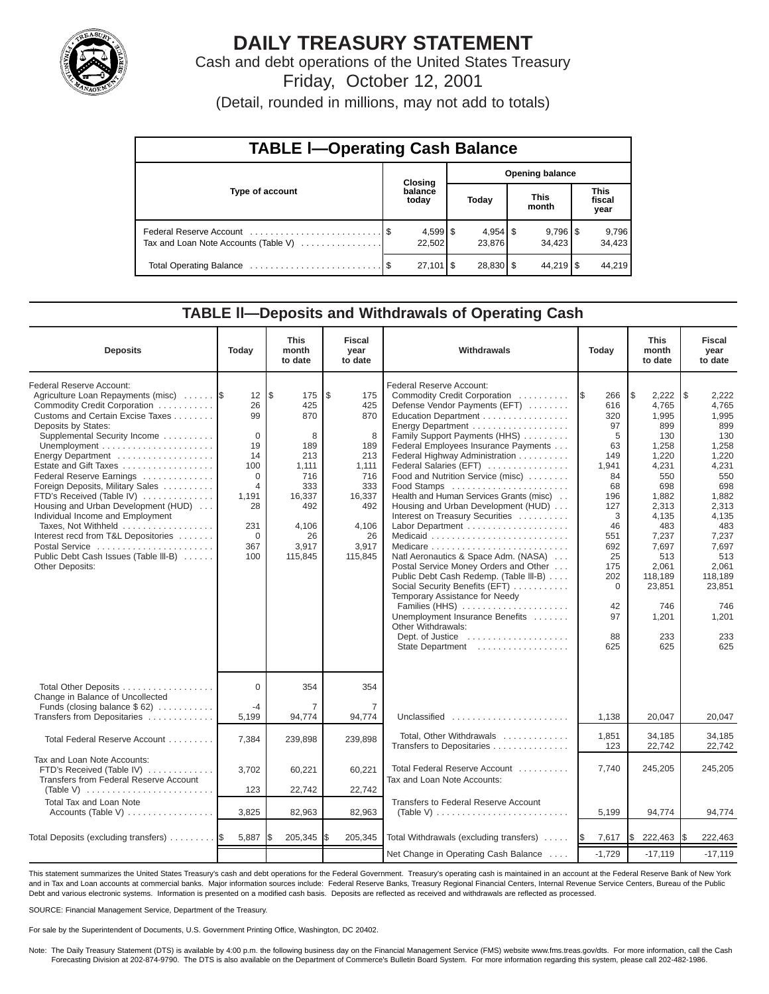

# **DAILY TREASURY STATEMENT**

Cash and debt operations of the United States Treasury Friday, October 12, 2001

(Detail, rounded in millions, may not add to totals)

| <b>TABLE I-Operating Cash Balance</b> |  |                     |                        |                              |                      |                                 |                               |                 |  |  |
|---------------------------------------|--|---------------------|------------------------|------------------------------|----------------------|---------------------------------|-------------------------------|-----------------|--|--|
|                                       |  | Closing             | <b>Opening balance</b> |                              |                      |                                 |                               |                 |  |  |
| Type of account                       |  | balance<br>today    | Today                  |                              | <b>This</b><br>month |                                 | <b>This</b><br>fiscal<br>year |                 |  |  |
| Tax and Loan Note Accounts (Table V)  |  | 22,502              |                        | $4,954$ $\sqrt{5}$<br>23.876 |                      | $9,796$ $\frac{8}{3}$<br>34.423 |                               | 9,796<br>34,423 |  |  |
|                                       |  | $27,101$ $\sqrt{5}$ |                        | $28,830$ \$                  |                      | $44,219$ $\sqrt{5}$             |                               | 44,219          |  |  |

#### **TABLE ll—Deposits and Withdrawals of Operating Cash**

| <b>Deposits</b>                                                                                                                                                                                                                                                                                                                                                                                                                                                                                                                                                    | Today                                                                                                                                    | <b>This</b><br>month<br>to date                                                                                        | <b>Fiscal</b><br>year<br>to date                                                                                      | Withdrawals                                                                                                                                                                                                                                                                                                                                                                                                                                                                                                                                                                                                                                                                                                                                                                                                                      | Today                                                                                                                                                          | <b>This</b><br>month<br>to date                                                                                                                                                                             | <b>Fiscal</b><br>year<br>to date                                                                                                                                                                             |
|--------------------------------------------------------------------------------------------------------------------------------------------------------------------------------------------------------------------------------------------------------------------------------------------------------------------------------------------------------------------------------------------------------------------------------------------------------------------------------------------------------------------------------------------------------------------|------------------------------------------------------------------------------------------------------------------------------------------|------------------------------------------------------------------------------------------------------------------------|-----------------------------------------------------------------------------------------------------------------------|----------------------------------------------------------------------------------------------------------------------------------------------------------------------------------------------------------------------------------------------------------------------------------------------------------------------------------------------------------------------------------------------------------------------------------------------------------------------------------------------------------------------------------------------------------------------------------------------------------------------------------------------------------------------------------------------------------------------------------------------------------------------------------------------------------------------------------|----------------------------------------------------------------------------------------------------------------------------------------------------------------|-------------------------------------------------------------------------------------------------------------------------------------------------------------------------------------------------------------|--------------------------------------------------------------------------------------------------------------------------------------------------------------------------------------------------------------|
| Federal Reserve Account:<br>Agriculture Loan Repayments (misc)<br>Commodity Credit Corporation<br>Customs and Certain Excise Taxes<br>Deposits by States:<br>Supplemental Security Income<br>Energy Department<br>Estate and Gift Taxes<br>Federal Reserve Earnings<br>Foreign Deposits, Military Sales<br>FTD's Received (Table IV)<br>Housing and Urban Development (HUD)<br>Individual Income and Employment<br>Taxes, Not Withheld<br>Interest recd from T&L Depositories<br>Postal Service<br>Public Debt Cash Issues (Table III-B)<br><b>Other Deposits:</b> | 12 <sup>2</sup><br>26<br>99<br>$\Omega$<br>19<br>14<br>100<br>$\Omega$<br>$\overline{4}$<br>1,191<br>28<br>231<br>$\Omega$<br>367<br>100 | l\$<br>175<br>425<br>870<br>8<br>189<br>213<br>1.111<br>716<br>333<br>16,337<br>492<br>4,106<br>26<br>3,917<br>115,845 | \$<br>175<br>425<br>870<br>8<br>189<br>213<br>1.111<br>716<br>333<br>16,337<br>492<br>4,106<br>26<br>3,917<br>115,845 | Federal Reserve Account:<br>Commodity Credit Corporation<br>Defense Vendor Payments (EFT)<br>Education Department<br>Energy Department<br>Family Support Payments (HHS)<br>Federal Employees Insurance Payments<br>Federal Highway Administration<br>Federal Salaries (EFT)<br>Food and Nutrition Service (misc)<br>Food Stamps<br>Health and Human Services Grants (misc)<br>Housing and Urban Development (HUD)<br>Interest on Treasury Securities<br>Labor Department<br>Natl Aeronautics & Space Adm. (NASA)<br>Postal Service Money Orders and Other<br>Public Debt Cash Redemp. (Table III-B)<br>Social Security Benefits (EFT)<br>Temporary Assistance for Needy<br>Families (HHS)<br>Unemployment Insurance Benefits<br>Other Withdrawals:<br>Dept. of Justice $\dots\dots\dots\dots\dots\dots\dots$<br>State Department | 266<br>I\$<br>616<br>320<br>97<br>5<br>63<br>149<br>1,941<br>84<br>68<br>196<br>127<br>3<br>46<br>551<br>692<br>25<br>175<br>202<br>0<br>42<br>97<br>88<br>625 | \$<br>2,222<br>4,765<br>1,995<br>899<br>130<br>1,258<br>1,220<br>4,231<br>550<br>698<br>1,882<br>2,313<br>4,135<br>483<br>7,237<br>7,697<br>513<br>2,061<br>118,189<br>23,851<br>746<br>1,201<br>233<br>625 | l\$<br>2,222<br>4,765<br>1,995<br>899<br>130<br>1,258<br>1,220<br>4,231<br>550<br>698<br>1,882<br>2,313<br>4,135<br>483<br>7,237<br>7,697<br>513<br>2,061<br>118,189<br>23,851<br>746<br>1,201<br>233<br>625 |
| Total Other Deposits<br>Change in Balance of Uncollected<br>Funds (closing balance $$62$ )                                                                                                                                                                                                                                                                                                                                                                                                                                                                         | $\Omega$<br>$-4$                                                                                                                         | 354<br>7                                                                                                               | 354<br>7                                                                                                              |                                                                                                                                                                                                                                                                                                                                                                                                                                                                                                                                                                                                                                                                                                                                                                                                                                  |                                                                                                                                                                |                                                                                                                                                                                                             |                                                                                                                                                                                                              |
| Transfers from Depositaries<br>Total Federal Reserve Account                                                                                                                                                                                                                                                                                                                                                                                                                                                                                                       | 5,199<br>7,384                                                                                                                           | 94,774<br>239,898                                                                                                      | 94,774<br>239,898                                                                                                     | Unclassified<br>Total, Other Withdrawals<br>Transfers to Depositaries                                                                                                                                                                                                                                                                                                                                                                                                                                                                                                                                                                                                                                                                                                                                                            | 1,138<br>1,851<br>123                                                                                                                                          | 20,047<br>34,185<br>22,742                                                                                                                                                                                  | 20,047<br>34,185<br>22,742                                                                                                                                                                                   |
| Tax and Loan Note Accounts:<br>FTD's Received (Table IV)<br>Transfers from Federal Reserve Account<br>(Table V) $\ldots \ldots \ldots \ldots \ldots \ldots \ldots \ldots$                                                                                                                                                                                                                                                                                                                                                                                          | 3,702<br>123                                                                                                                             | 60,221<br>22,742                                                                                                       | 60,221<br>22,742                                                                                                      | Total Federal Reserve Account<br>Tax and Loan Note Accounts:                                                                                                                                                                                                                                                                                                                                                                                                                                                                                                                                                                                                                                                                                                                                                                     | 7,740                                                                                                                                                          | 245,205                                                                                                                                                                                                     | 245,205                                                                                                                                                                                                      |
| <b>Total Tax and Loan Note</b><br>Accounts (Table V)                                                                                                                                                                                                                                                                                                                                                                                                                                                                                                               | 3,825                                                                                                                                    | 82,963                                                                                                                 | 82,963                                                                                                                | <b>Transfers to Federal Reserve Account</b><br>(Table V) $\ldots \ldots \ldots \ldots \ldots \ldots \ldots \ldots \ldots$                                                                                                                                                                                                                                                                                                                                                                                                                                                                                                                                                                                                                                                                                                        | 5,199                                                                                                                                                          | 94,774                                                                                                                                                                                                      | 94,774                                                                                                                                                                                                       |
| Total Deposits (excluding transfers)                                                                                                                                                                                                                                                                                                                                                                                                                                                                                                                               | 5,887                                                                                                                                    | 205,345                                                                                                                | l\$<br>205,345                                                                                                        | Total Withdrawals (excluding transfers)                                                                                                                                                                                                                                                                                                                                                                                                                                                                                                                                                                                                                                                                                                                                                                                          | 7,617<br><b>1\$</b>                                                                                                                                            | \$<br>222,463                                                                                                                                                                                               | 222,463<br>I\$                                                                                                                                                                                               |
|                                                                                                                                                                                                                                                                                                                                                                                                                                                                                                                                                                    |                                                                                                                                          |                                                                                                                        |                                                                                                                       | Net Change in Operating Cash Balance                                                                                                                                                                                                                                                                                                                                                                                                                                                                                                                                                                                                                                                                                                                                                                                             | $-1,729$                                                                                                                                                       | $-17,119$                                                                                                                                                                                                   | $-17,119$                                                                                                                                                                                                    |

This statement summarizes the United States Treasury's cash and debt operations for the Federal Government. Treasury's operating cash is maintained in an account at the Federal Reserve Bank of New York and in Tax and Loan accounts at commercial banks. Major information sources include: Federal Reserve Banks, Treasury Regional Financial Centers, Internal Revenue Service Centers, Bureau of the Public Debt and various electronic systems. Information is presented on a modified cash basis. Deposits are reflected as received and withdrawals are reflected as processed.

SOURCE: Financial Management Service, Department of the Treasury.

For sale by the Superintendent of Documents, U.S. Government Printing Office, Washington, DC 20402.

Note: The Daily Treasury Statement (DTS) is available by 4:00 p.m. the following business day on the Financial Management Service (FMS) website www.fms.treas.gov/dts. For more information, call the Cash Forecasting Division at 202-874-9790. The DTS is also available on the Department of Commerce's Bulletin Board System. For more information regarding this system, please call 202-482-1986.